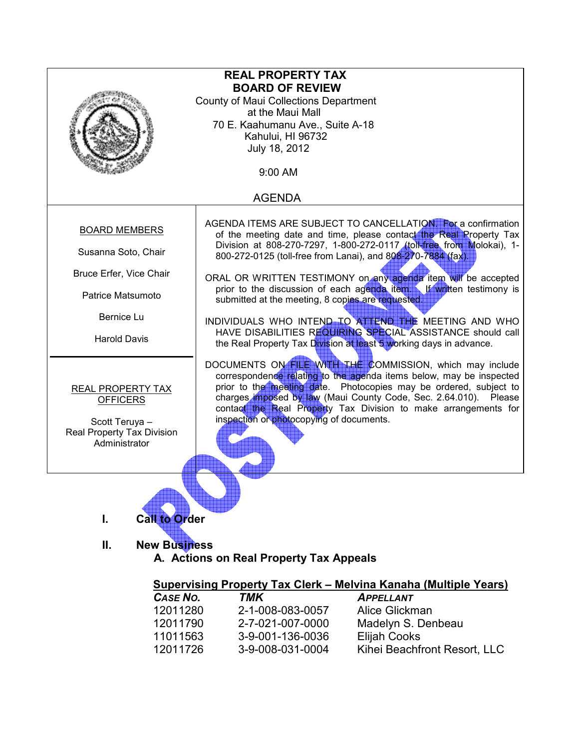| <b>REAL PROPERTY TAX</b>   |                                                                                                                                             |  |  |
|----------------------------|---------------------------------------------------------------------------------------------------------------------------------------------|--|--|
| <b>BOARD OF REVIEW</b>     |                                                                                                                                             |  |  |
|                            | County of Maui Collections Department<br>at the Maui Mall                                                                                   |  |  |
|                            | 70 E. Kaahumanu Ave., Suite A-18                                                                                                            |  |  |
|                            | Kahului, HI 96732                                                                                                                           |  |  |
|                            | July 18, 2012                                                                                                                               |  |  |
|                            |                                                                                                                                             |  |  |
| 9:00 AM                    |                                                                                                                                             |  |  |
| <b>AGENDA</b>              |                                                                                                                                             |  |  |
|                            |                                                                                                                                             |  |  |
| <b>BOARD MEMBERS</b>       | AGENDA ITEMS ARE SUBJECT TO CANCELLATION. For a confirmation                                                                                |  |  |
|                            | of the meeting date and time, please contact the Real Property Tax<br>Division at 808-270-7297, 1-800-272-0117 (toll-free from Molokai), 1- |  |  |
| Susanna Soto, Chair        | 800-272-0125 (toll-free from Lanai), and 808-270-7884 (fax).                                                                                |  |  |
|                            |                                                                                                                                             |  |  |
| Bruce Erfer, Vice Chair    | ORAL OR WRITTEN TESTIMONY on any agenda item will be accepted                                                                               |  |  |
|                            | prior to the discussion of each agenda item. If written testimony is                                                                        |  |  |
| Patrice Matsumoto          | submitted at the meeting, 8 copies are requested.                                                                                           |  |  |
| Bernice Lu                 |                                                                                                                                             |  |  |
|                            | INDIVIDUALS WHO INTEND TO ATTEND THE MEETING AND WHO                                                                                        |  |  |
| <b>Harold Davis</b>        | HAVE DISABILITIES REQUIRING SPECIAL ASSISTANCE should call                                                                                  |  |  |
|                            | the Real Property Tax Division at least 5 working days in advance.                                                                          |  |  |
|                            | DOCUMENTS ON FILE WITH THE COMMISSION, which may include                                                                                    |  |  |
|                            | correspondence relating to the agenda items below, may be inspected                                                                         |  |  |
| REAL PROPERTY TAX          | prior to the meeting date. Photocopies may be ordered, subject to                                                                           |  |  |
| <b>OFFICERS</b>            | charges imposed by law (Maui County Code, Sec. 2.64.010). Please                                                                            |  |  |
|                            | contact the Real Property Tax Division to make arrangements for                                                                             |  |  |
| Scott Teruya -             | inspection or photocopying of documents.                                                                                                    |  |  |
| Real Property Tax Division |                                                                                                                                             |  |  |
| Administrator              |                                                                                                                                             |  |  |
|                            |                                                                                                                                             |  |  |
|                            |                                                                                                                                             |  |  |
|                            |                                                                                                                                             |  |  |
|                            |                                                                                                                                             |  |  |
|                            | <b>Call to Order</b>                                                                                                                        |  |  |

II. New Business A. Actions on Real Property Tax Appeals

# Supervising Property Tax Clerk – Melvina Kanaha (Multiple Years)

| CASE NO. | TMK              | <b>APPELLANT</b>             |
|----------|------------------|------------------------------|
| 12011280 | 2-1-008-083-0057 | Alice Glickman               |
| 12011790 | 2-7-021-007-0000 | Madelyn S. Denbeau           |
| 11011563 | 3-9-001-136-0036 | <b>Elijah Cooks</b>          |
| 12011726 | 3-9-008-031-0004 | Kihei Beachfront Resort, LLC |
|          |                  |                              |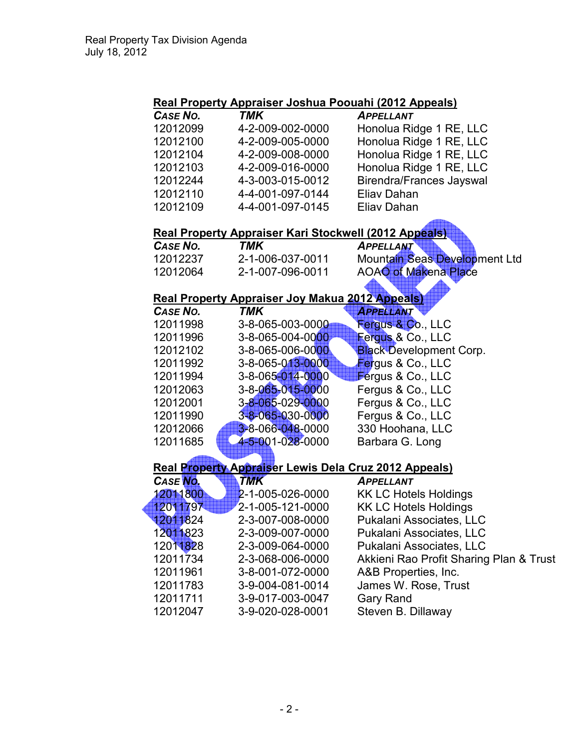# Real Property Appraiser Joshua Poouahi (2012 Appeals)

| CASE NO. | <b>TMK</b>       | <b>APPELLANT</b>                |
|----------|------------------|---------------------------------|
| 12012099 | 4-2-009-002-0000 | Honolua Ridge 1 RE, LLC         |
| 12012100 | 4-2-009-005-0000 | Honolua Ridge 1 RE, LLC         |
| 12012104 | 4-2-009-008-0000 | Honolua Ridge 1 RE, LLC         |
| 12012103 | 4-2-009-016-0000 | Honolua Ridge 1 RE, LLC         |
| 12012244 | 4-3-003-015-0012 | <b>Birendra/Frances Jayswal</b> |
| 12012110 | 4-4-001-097-0144 | Eliav Dahan                     |
| 12012109 | 4-4-001-097-0145 | Eliav Dahan                     |

## Real Property Appraiser Kari Stockwell (2012 Appeals)

| CASE NO. | TMK              | <b>APPELLANT</b>              |
|----------|------------------|-------------------------------|
| 12012237 | 2-1-006-037-0011 | Mountain Seas Development Ltd |
| 12012064 | 2-1-007-096-0011 | <b>AOAO of Makena Place</b>   |

# Real Property Appraiser Joy Makua 2012 Appeals)

| CASE NO. | TMK              | <b>APPELLANT</b>               |
|----------|------------------|--------------------------------|
| 12011998 | 3-8-065-003-0000 | Fergus & Co., LLC              |
| 12011996 | 3-8-065-004-0000 | Fergus & Co., LLC              |
| 12012102 | 3-8-065-006-0000 | <b>Black Development Corp.</b> |
| 12011992 | 3-8-065-013-0000 | Fergus & Co., LLC              |
| 12011994 | 3-8-065-014-0000 | Fergus & Co., LLC              |
| 12012063 | 3-8-065-015-0000 | Fergus & Co., LLC              |
| 12012001 | 3-8-065-029-0000 | Fergus & Co., LLC              |
| 12011990 | 3-8-065-030-0000 | Fergus & Co., LLC              |
| 12012066 | 3-8-066-048-0000 | 330 Hoohana, LLC               |
| 12011685 | 4-5-001-028-0000 | Barbara G. Long                |

#### Real Property Appraiser Lewis Dela Cruz 2012 Appeals)

| CASE No. | <b>TMK</b>       | <b>APPELLANT</b>                        |
|----------|------------------|-----------------------------------------|
| 12011800 | 2-1-005-026-0000 | <b>KK LC Hotels Holdings</b>            |
| 12011797 | 2-1-005-121-0000 | <b>KK LC Hotels Holdings</b>            |
| 12011824 | 2-3-007-008-0000 | Pukalani Associates, LLC                |
| 12011823 | 2-3-009-007-0000 | Pukalani Associates, LLC                |
| 12011828 | 2-3-009-064-0000 | Pukalani Associates, LLC                |
| 12011734 | 2-3-068-006-0000 | Akkieni Rao Profit Sharing Plan & Trust |
| 12011961 | 3-8-001-072-0000 | A&B Properties, Inc.                    |
| 12011783 | 3-9-004-081-0014 | James W. Rose, Trust                    |
| 12011711 | 3-9-017-003-0047 | <b>Gary Rand</b>                        |
| 12012047 | 3-9-020-028-0001 | Steven B. Dillaway                      |